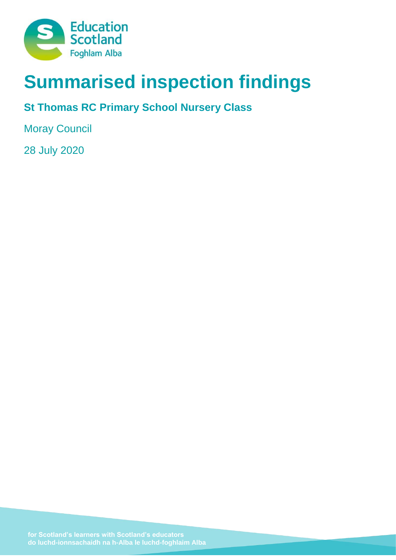

# **Summarised inspection findings**

## **St Thomas RC Primary School Nursery Class**

Moray Council

28 July 2020

**do luchd-ionnsachaidh na h-Alba le luchd-foghlaim Alba**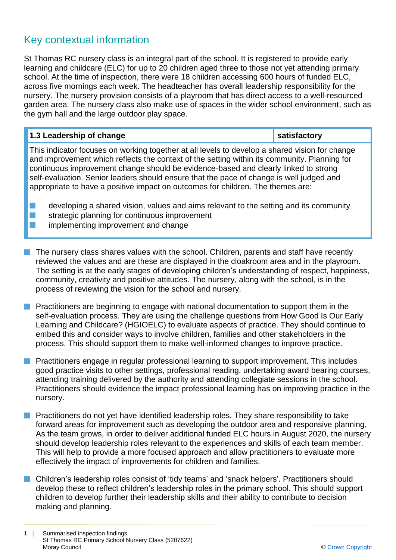### Key contextual information

St Thomas RC nursery class is an integral part of the school. It is registered to provide early learning and childcare (ELC) for up to 20 children aged three to those not yet attending primary school. At the time of inspection, there were 18 children accessing 600 hours of funded ELC, across five mornings each week. The headteacher has overall leadership responsibility for the nursery. The nursery provision consists of a playroom that has direct access to a well-resourced garden area. The nursery class also make use of spaces in the wider school environment, such as the gym hall and the large outdoor play space.

| 1.3 Leadership of change                                                                                                                                                                                                                                                                                                                                                                                                                                             | satisfactory |
|----------------------------------------------------------------------------------------------------------------------------------------------------------------------------------------------------------------------------------------------------------------------------------------------------------------------------------------------------------------------------------------------------------------------------------------------------------------------|--------------|
| This indicator focuses on working together at all levels to develop a shared vision for change<br>and improvement which reflects the context of the setting within its community. Planning for<br>continuous improvement change should be evidence-based and clearly linked to strong<br>self-evaluation. Senior leaders should ensure that the pace of change is well judged and<br>appropriate to have a positive impact on outcomes for children. The themes are: |              |
| developing a shared vision, values and aims relevant to the setting and its community<br>strategic planning for continuous improvement                                                                                                                                                                                                                                                                                                                               |              |

- implementing improvement and change
- The nursery class shares values with the school. Children, parents and staff have recently reviewed the values and are these are displayed in the cloakroom area and in the playroom. The setting is at the early stages of developing children's understanding of respect, happiness, community, creativity and positive attitudes. The nursery, along with the school, is in the process of reviewing the vision for the school and nursery.
- **n** Practitioners are beginning to engage with national documentation to support them in the self-evaluation process. They are using the challenge questions from How Good Is Our Early Learning and Childcare? (HGIOELC) to evaluate aspects of practice. They should continue to embed this and consider ways to involve children, families and other stakeholders in the process. This should support them to make well-informed changes to improve practice.
- **n** Practitioners engage in regular professional learning to support improvement. This includes good practice visits to other settings, professional reading, undertaking award bearing courses, attending training delivered by the authority and attending collegiate sessions in the school. Practitioners should evidence the impact professional learning has on improving practice in the nursery.
- **n** Practitioners do not yet have identified leadership roles. They share responsibility to take forward areas for improvement such as developing the outdoor area and responsive planning. As the team grows, in order to deliver additional funded ELC hours in August 2020, the nursery should develop leadership roles relevant to the experiences and skills of each team member. This will help to provide a more focused approach and allow practitioners to evaluate more effectively the impact of improvements for children and families.
- **n** Children's leadership roles consist of 'tidy teams' and 'snack helpers'. Practitioners should develop these to reflect children's leadership roles in the primary school. This should support children to develop further their leadership skills and their ability to contribute to decision making and planning.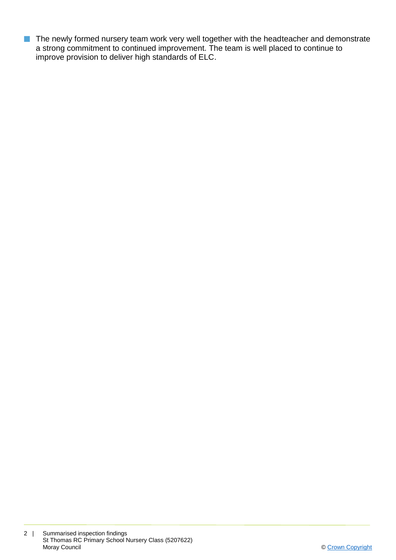**n** The newly formed nursery team work very well together with the headteacher and demonstrate a strong commitment to continued improvement. The team is well placed to continue to improve provision to deliver high standards of ELC.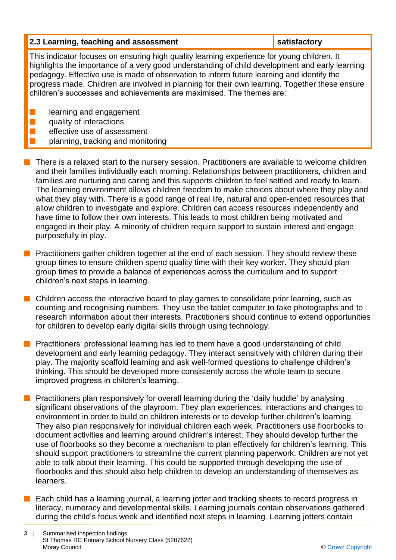#### **2.3 Learning, teaching and assessment satisfactory**

This indicator focuses on ensuring high quality learning experience for young children. It highlights the importance of a very good understanding of child development and early learning pedagogy. Effective use is made of observation to inform future learning and identify the progress made. Children are involved in planning for their own learning. Together these ensure children's successes and achievements are maximised. The themes are:

- learning and engagement
- quality of interactions
- effective use of assessment
	- planning, tracking and monitoring
- $\blacksquare$  There is a relaxed start to the nursery session. Practitioners are available to welcome children and their families individually each morning. Relationships between practitioners, children and families are nurturing and caring and this supports children to feel settled and ready to learn. The learning environment allows children freedom to make choices about where they play and what they play with. There is a good range of real life, natural and open-ended resources that allow children to investigate and explore. Children can access resources independently and have time to follow their own interests. This leads to most children being motivated and engaged in their play. A minority of children require support to sustain interest and engage purposefully in play.
- **n** Practitioners gather children together at the end of each session. They should review these group times to ensure children spend quality time with their key worker. They should plan group times to provide a balance of experiences across the curriculum and to support children's next steps in learning.
- n Children access the interactive board to play games to consolidate prior learning, such as counting and recognising numbers. They use the tablet computer to take photographs and to research information about their interests. Practitioners should continue to extend opportunities for children to develop early digital skills through using technology.
- **n** Practitioners' professional learning has led to them have a good understanding of child development and early learning pedagogy. They interact sensitively with children during their play. The majority scaffold learning and ask well-formed questions to challenge children's thinking. This should be developed more consistently across the whole team to secure improved progress in children's learning.
- Practitioners plan responsively for overall learning during the 'daily huddle' by analysing significant observations of the playroom. They plan experiences, interactions and changes to environment in order to build on children interests or to develop further children's learning. They also plan responsively for individual children each week. Practitioners use floorbooks to document activities and learning around children's interest. They should develop further the use of floorbooks so they become a mechanism to plan effectively for children's learning. This should support practitioners to streamline the current planning paperwork. Children are not yet able to talk about their learning. This could be supported through developing the use of floorbooks and this should also help children to develop an understanding of themselves as learners.
- Each child has a learning journal, a learning jotter and tracking sheets to record progress in literacy, numeracy and developmental skills. Learning journals contain observations gathered during the child's focus week and identified next steps in learning. Learning jotters contain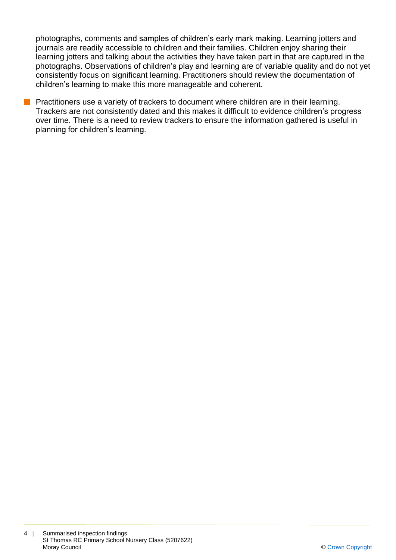photographs, comments and samples of children's early mark making. Learning jotters and journals are readily accessible to children and their families. Children enjoy sharing their learning jotters and talking about the activities they have taken part in that are captured in the photographs. Observations of children's play and learning are of variable quality and do not yet consistently focus on significant learning. Practitioners should review the documentation of children's learning to make this more manageable and coherent.

**n** Practitioners use a variety of trackers to document where children are in their learning. Trackers are not consistently dated and this makes it difficult to evidence children's progress over time. There is a need to review trackers to ensure the information gathered is useful in planning for children's learning.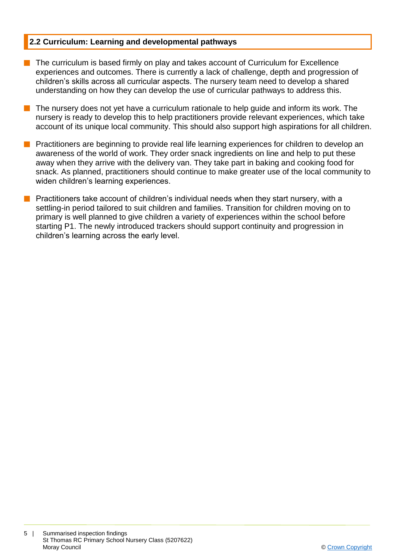#### **2.2 Curriculum: Learning and developmental pathways**

- $\blacksquare$  The curriculum is based firmly on play and takes account of Curriculum for Excellence experiences and outcomes. There is currently a lack of challenge, depth and progression of children's skills across all curricular aspects. The nursery team need to develop a shared understanding on how they can develop the use of curricular pathways to address this.
- The nursery does not yet have a curriculum rationale to help quide and inform its work. The nursery is ready to develop this to help practitioners provide relevant experiences, which take account of its unique local community. This should also support high aspirations for all children.
- **n** Practitioners are beginning to provide real life learning experiences for children to develop an awareness of the world of work. They order snack ingredients on line and help to put these away when they arrive with the delivery van. They take part in baking and cooking food for snack. As planned, practitioners should continue to make greater use of the local community to widen children's learning experiences.
- **n** Practitioners take account of children's individual needs when they start nursery, with a settling-in period tailored to suit children and families. Transition for children moving on to primary is well planned to give children a variety of experiences within the school before starting P1. The newly introduced trackers should support continuity and progression in children's learning across the early level.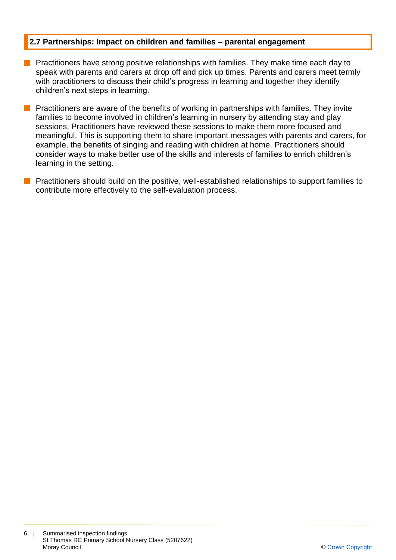#### **2.7 Partnerships: Impact on children and families – parental engagement**

- **n** Practitioners have strong positive relationships with families. They make time each day to speak with parents and carers at drop off and pick up times. Parents and carers meet termly with practitioners to discuss their child's progress in learning and together they identify children's next steps in learning.
- **n** Practitioners are aware of the benefits of working in partnerships with families. They invite families to become involved in children's learning in nursery by attending stay and play sessions. Practitioners have reviewed these sessions to make them more focused and meaningful. This is supporting them to share important messages with parents and carers, for example, the benefits of singing and reading with children at home. Practitioners should consider ways to make better use of the skills and interests of families to enrich children's learning in the setting.
- Practitioners should build on the positive, well-established relationships to support families to contribute more effectively to the self-evaluation process.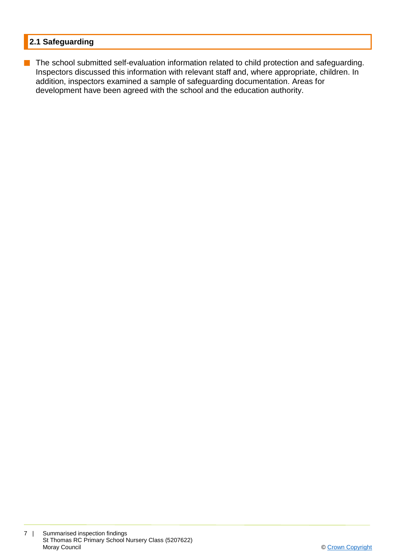#### **2.1 Safeguarding**

**n** The school submitted self-evaluation information related to child protection and safeguarding. Inspectors discussed this information with relevant staff and, where appropriate, children. In addition, inspectors examined a sample of safeguarding documentation. Areas for development have been agreed with the school and the education authority.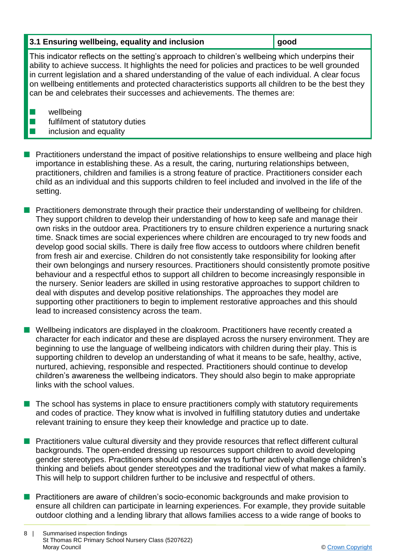#### **3.1 Ensuring wellbeing, equality and inclusion gives good**

This indicator reflects on the setting's approach to children's wellbeing which underpins their ability to achieve success. It highlights the need for policies and practices to be well grounded in current legislation and a shared understanding of the value of each individual. A clear focus on wellbeing entitlements and protected characteristics supports all children to be the best they can be and celebrates their successes and achievements. The themes are:

 $\blacksquare$  wellbeing

 $\blacksquare$  fulfilment of statutory duties

#### inclusion and equality

- **Practitioners understand the impact of positive relationships to ensure wellbeing and place high** importance in establishing these. As a result, the caring, nurturing relationships between, practitioners, children and families is a strong feature of practice. Practitioners consider each child as an individual and this supports children to feel included and involved in the life of the setting.
- **n** Practitioners demonstrate through their practice their understanding of wellbeing for children. They support children to develop their understanding of how to keep safe and manage their own risks in the outdoor area. Practitioners try to ensure children experience a nurturing snack time. Snack times are social experiences where children are encouraged to try new foods and develop good social skills. There is daily free flow access to outdoors where children benefit from fresh air and exercise. Children do not consistently take responsibility for looking after their own belongings and nursery resources. Practitioners should consistently promote positive behaviour and a respectful ethos to support all children to become increasingly responsible in the nursery. Senior leaders are skilled in using restorative approaches to support children to deal with disputes and develop positive relationships. The approaches they model are supporting other practitioners to begin to implement restorative approaches and this should lead to increased consistency across the team.
- **N** Wellbeing indicators are displayed in the cloakroom. Practitioners have recently created a character for each indicator and these are displayed across the nursery environment. They are beginning to use the language of wellbeing indicators with children during their play. This is supporting children to develop an understanding of what it means to be safe, healthy, active, nurtured, achieving, responsible and respected. Practitioners should continue to develop children's awareness the wellbeing indicators. They should also begin to make appropriate links with the school values.
- The school has systems in place to ensure practitioners comply with statutory requirements and codes of practice. They know what is involved in fulfilling statutory duties and undertake relevant training to ensure they keep their knowledge and practice up to date.
- **n** Practitioners value cultural diversity and they provide resources that reflect different cultural backgrounds. The open-ended dressing up resources support children to avoid developing gender stereotypes. Practitioners should consider ways to further actively challenge children's thinking and beliefs about gender stereotypes and the traditional view of what makes a family. This will help to support children further to be inclusive and respectful of others.
- **n** Practitioners are aware of children's socio-economic backgrounds and make provision to ensure all children can participate in learning experiences. For example, they provide suitable outdoor clothing and a lending library that allows families access to a wide range of books to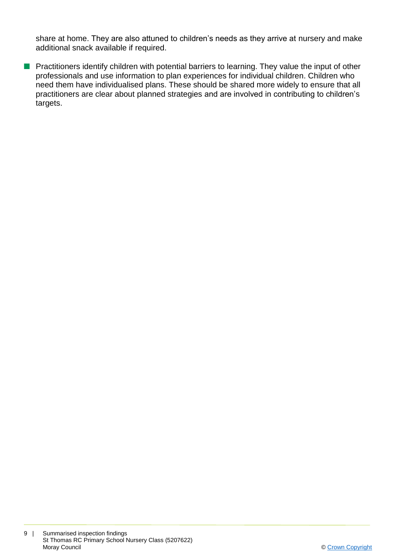share at home. They are also attuned to children's needs as they arrive at nursery and make additional snack available if required.

**n** Practitioners identify children with potential barriers to learning. They value the input of other professionals and use information to plan experiences for individual children. Children who need them have individualised plans. These should be shared more widely to ensure that all practitioners are clear about planned strategies and are involved in contributing to children's targets.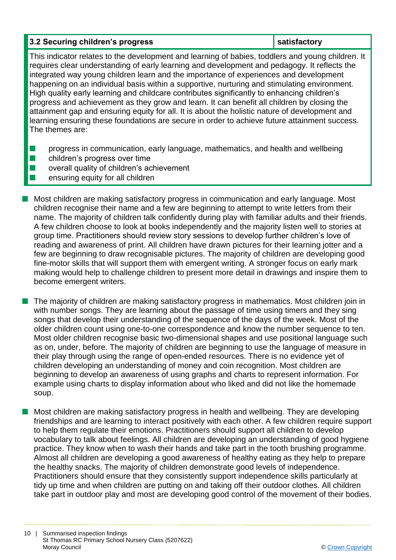#### **3.2 Securing children's progress and all statisfactory satisfactory**

This indicator relates to the development and learning of babies, toddlers and young children. It requires clear understanding of early learning and development and pedagogy. It reflects the integrated way young children learn and the importance of experiences and development happening on an individual basis within a supportive, nurturing and stimulating environment. High quality early learning and childcare contributes significantly to enhancing children's progress and achievement as they grow and learn. It can benefit all children by closing the attainment gap and ensuring equity for all. It is about the holistic nature of development and learning ensuring these foundations are secure in order to achieve future attainment success. The themes are:

- **n** progress in communication, early language, mathematics, and health and wellbeing
- $\blacksquare$  children's progress over time
- $\blacksquare$  overall quality of children's achievement
- $\blacksquare$  ensuring equity for all children
- **n** Most children are making satisfactory progress in communication and early language. Most children recognise their name and a few are beginning to attempt to write letters from their name. The majority of children talk confidently during play with familiar adults and their friends. A few children choose to look at books independently and the majority listen well to stories at group time. Practitioners should review story sessions to develop further children's love of reading and awareness of print. All children have drawn pictures for their learning jotter and a few are beginning to draw recognisable pictures. The majority of children are developing good fine-motor skills that will support them with emergent writing. A stronger focus on early mark making would help to challenge children to present more detail in drawings and inspire them to become emergent writers.
- $\blacksquare$  The majority of children are making satisfactory progress in mathematics. Most children join in with number songs. They are learning about the passage of time using timers and they sing songs that develop their understanding of the sequence of the days of the week. Most of the older children count using one-to-one correspondence and know the number sequence to ten. Most older children recognise basic two-dimensional shapes and use positional language such as on, under, before. The majority of children are beginning to use the language of measure in their play through using the range of open-ended resources. There is no evidence yet of children developing an understanding of money and coin recognition. Most children are beginning to develop an awareness of using graphs and charts to represent information. For example using charts to display information about who liked and did not like the homemade soup.
- n Most children are making satisfactory progress in health and wellbeing. They are developing friendships and are learning to interact positively with each other. A few children require support to help them regulate their emotions. Practitioners should support all children to develop vocabulary to talk about feelings. All children are developing an understanding of good hygiene practice. They know when to wash their hands and take part in the tooth brushing programme. Almost all children are developing a good awareness of healthy eating as they help to prepare the healthy snacks. The majority of children demonstrate good levels of independence. Practitioners should ensure that they consistently support independence skills particularly at tidy up time and when children are putting on and taking off their outdoor clothes. All children take part in outdoor play and most are developing good control of the movement of their bodies.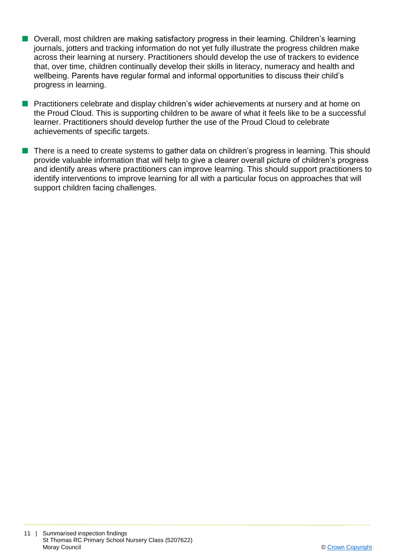- Overall, most children are making satisfactory progress in their learning. Children's learning journals, jotters and tracking information do not yet fully illustrate the progress children make across their learning at nursery. Practitioners should develop the use of trackers to evidence that, over time, children continually develop their skills in literacy, numeracy and health and wellbeing. Parents have regular formal and informal opportunities to discuss their child's progress in learning.
- **n** Practitioners celebrate and display children's wider achievements at nursery and at home on the Proud Cloud. This is supporting children to be aware of what it feels like to be a successful learner. Practitioners should develop further the use of the Proud Cloud to celebrate achievements of specific targets.
- n There is a need to create systems to gather data on children's progress in learning. This should provide valuable information that will help to give a clearer overall picture of children's progress and identify areas where practitioners can improve learning. This should support practitioners to identify interventions to improve learning for all with a particular focus on approaches that will support children facing challenges.